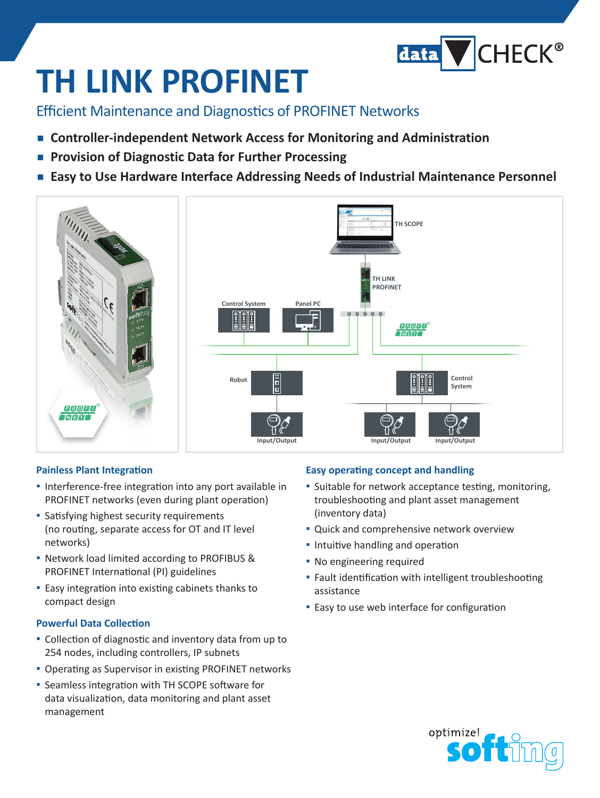

# **TH LINK PROFINET**

Efficient Maintenance and Diagnostics of PROFINET Networks

- Controller-independent Network Access for Monitoring and Administration
- **▪  Provision of Diagnostic Data for Further Processing**
- **▪  Easy to Use Hardware Interface Addressing Needs of Industrial Maintenance Personnel**



### **Painless Plant Integration**

- **▪** Interference-free integration into any port available in PROFINET networks (even during plant operation)
- **▪** Satisfying highest security requirements (no routing, separate access for OT and IT level networks)
- **▪** Network load limited according to PROFIBUS & PROFINET International (PI) guidelines
- **▪** Easy integration into existing cabinets thanks to compact design

### **Powerful Data Collection**

- **▪** Collection of diagnostic and inventory data from up to 254 nodes, including controllers, IP subnets
- **▪** Operating as Supervisor in existing PROFINET networks
- **▪** Seamless integration with TH SCOPE software for data visualization, data monitoring and plant asset management

### **Easy operating concept and handling**

- **▪** Suitable for network acceptance testing, monitoring, troubleshooting and plant asset management (inventory data)
- **▪** Quick and comprehensive network overview
- **▪** Intuitive handling and operation
- **▪** No engineering required
- **▪** Fault identification with intelligent troubleshooting assistance
- **▪** Easy to use web interface for configuration